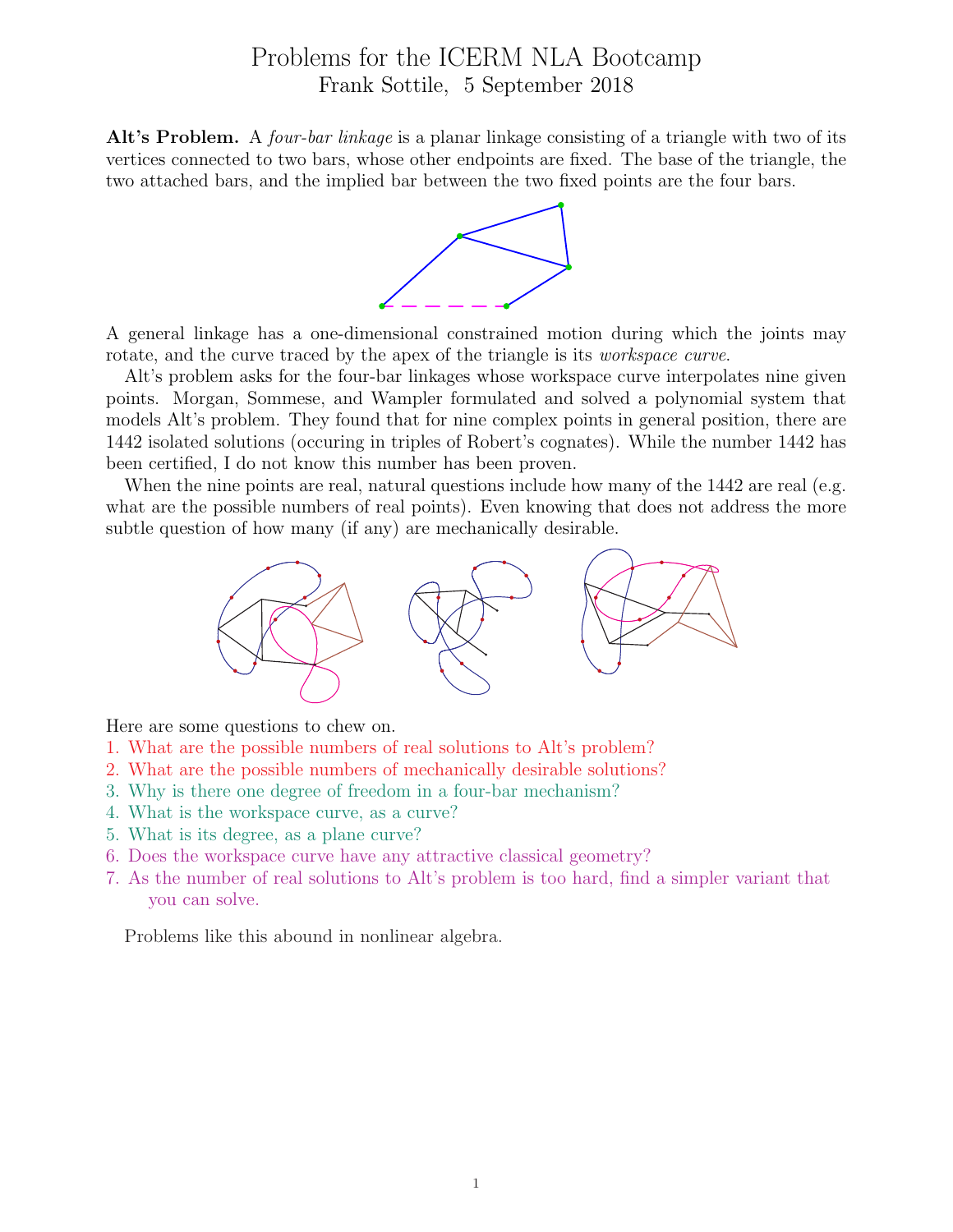## Problems for the ICERM NLA Bootcamp Frank Sottile, 5 September 2018

Alt's Problem. A *four-bar linkage* is a planar linkage consisting of a triangle with two of its vertices connected to two bars, whose other endpoints are fixed. The base of the triangle, the two attached bars, and the implied bar between the two fixed points are the four bars.



A general linkage has a one-dimensional constrained motion during which the joints may rotate, and the curve traced by the apex of the triangle is its workspace curve.

Alt's problem asks for the four-bar linkages whose workspace curve interpolates nine given points. Morgan, Sommese, and Wampler formulated and solved a polynomial system that models Alt's problem. They found that for nine complex points in general position, there are 1442 isolated solutions (occuring in triples of Robert's cognates). While the number 1442 has been certified, I do not know this number has been proven.

When the nine points are real, natural questions include how many of the 1442 are real (e.g. what are the possible numbers of real points). Even knowing that does not address the more subtle question of how many (if any) are mechanically desirable.



Here are some questions to chew on.

- 1. What are the possible numbers of real solutions to Alt's problem?
- 2. What are the possible numbers of mechanically desirable solutions?
- 3. Why is there one degree of freedom in a four-bar mechanism?
- 4. What is the workspace curve, as a curve?
- 5. What is its degree, as a plane curve?
- 6. Does the workspace curve have any attractive classical geometry?
- 7. As the number of real solutions to Alt's problem is too hard, find a simpler variant that you can solve.

Problems like this abound in nonlinear algebra.